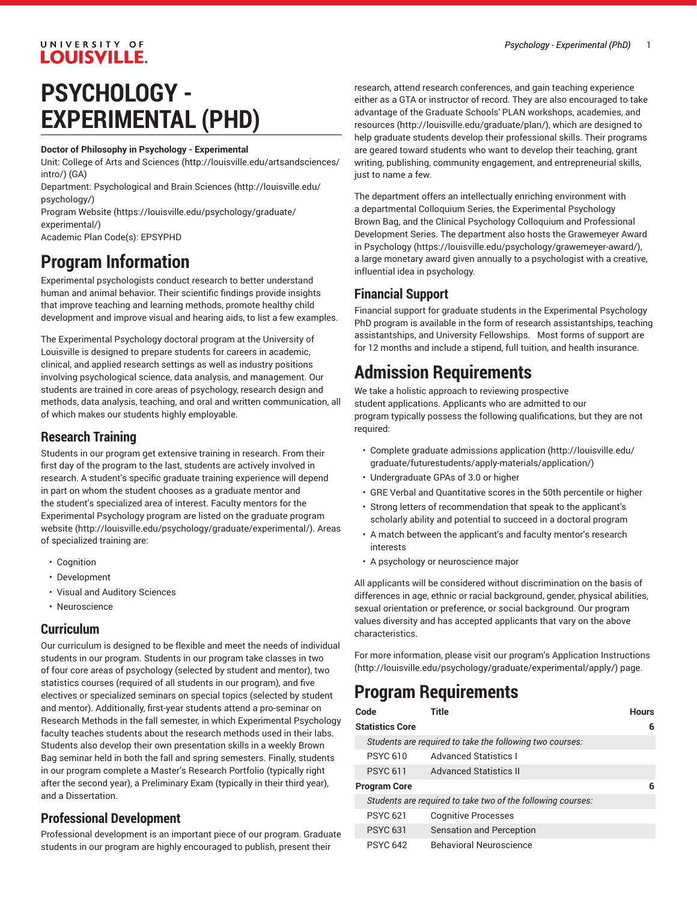# **PSYCHOLOGY - EXPERIMENTAL (PHD)**

#### **Doctor of Philosophy in Psychology - Experimental**

Unit: College of Arts and [Sciences \(http://louisville.edu/artsandsciences/](http://louisville.edu/artsandsciences/intro/) [intro/\)](http://louisville.edu/artsandsciences/intro/) (GA)

Department: [Psychological](http://louisville.edu/psychology/) and Brain Sciences [\(http://louisville.edu/](http://louisville.edu/psychology/) [psychology/](http://louisville.edu/psychology/))

[Program](https://louisville.edu/psychology/graduate/experimental/) Website [\(https://louisville.edu/psychology/graduate/](https://louisville.edu/psychology/graduate/experimental/) [experimental/\)](https://louisville.edu/psychology/graduate/experimental/)

Academic Plan Code(s): EPSYPHD

UNIVERSITY OF **LOUISVILLE.** 

## **Program Information**

Experimental psychologists conduct research to better understand human and animal behavior. Their scientific findings provide insights that improve teaching and learning methods, promote healthy child development and improve visual and hearing aids, to list a few examples.

The Experimental Psychology doctoral program at the University of Louisville is designed to prepare students for careers in academic, clinical, and applied research settings as well as industry positions involving psychological science, data analysis, and management. Our students are trained in core areas of psychology, research design and methods, data analysis, teaching, and oral and written communication, all of which makes our students highly employable.

## **Research Training**

Students in our program get extensive training in research. From their first day of the program to the last, students are actively involved in research. A student's specific graduate training experience will depend in part on whom the student chooses as a graduate mentor and the student's specialized area of interest. Faculty mentors for the Experimental Psychology program are listed on the [graduate](http://louisville.edu/psychology/graduate/experimental/) program [website](http://louisville.edu/psychology/graduate/experimental/) (<http://louisville.edu/psychology/graduate/experimental/>). Areas of specialized training are:

- Cognition
- Development
- Visual and Auditory Sciences
- Neuroscience

#### **Curriculum**

Our curriculum is designed to be flexible and meet the needs of individual students in our program. Students in our program take classes in two of four core areas of psychology (selected by student and mentor), two statistics courses (required of all students in our program), and five electives or specialized seminars on special topics (selected by student and mentor). Additionally, first-year students attend a pro-seminar on Research Methods in the fall semester, in which Experimental Psychology faculty teaches students about the research methods used in their labs. Students also develop their own presentation skills in a weekly Brown Bag seminar held in both the fall and spring semesters. Finally, students in our program complete a Master's Research Portfolio (typically right after the second year), a Preliminary Exam (typically in their third year), and a Dissertation.

## **Professional Development**

Professional development is an important piece of our program. Graduate students in our program are highly encouraged to publish, present their

research, attend research conferences, and gain teaching experience either as a GTA or instructor of record. They are also encouraged to take advantage of the Graduate Schools' PLAN [workshops,](http://louisville.edu/graduate/plan/) academies, and [resources \(http://louisville.edu/graduate/plan/](http://louisville.edu/graduate/plan/)), which are designed to help graduate students develop their professional skills. Their programs are geared toward students who want to develop their teaching, grant writing, publishing, community engagement, and entrepreneurial skills, just to name a few.

The department offers an intellectually enriching environment with a departmental Colloquium Series, the Experimental Psychology Brown Bag, and the Clinical Psychology Colloquium and Professional Development Series. The department also hosts the [Grawemeyer](https://louisville.edu/psychology/grawemeyer-award/) Award in [Psychology \(https://louisville.edu/psychology/grawemeyer-award/](https://louisville.edu/psychology/grawemeyer-award/)), a large monetary award given annually to a psychologist with a creative, influential idea in psychology.

## **Financial Support**

Financial support for graduate students in the Experimental Psychology PhD program is available in the form of research assistantships, teaching assistantships, and University Fellowships. Most forms of support are for 12 months and include a stipend, full tuition, and health insurance.

## **Admission Requirements**

We take a holistic approach to reviewing prospective student applications. Applicants who are admitted to our program typically possess the following qualifications, but they are not required:

- Complete [graduate admissions application](http://louisville.edu/graduate/futurestudents/apply-materials/application/) [\(http://louisville.edu/](http://louisville.edu/graduate/futurestudents/apply-materials/application/) [graduate/futurestudents/apply-materials/application/](http://louisville.edu/graduate/futurestudents/apply-materials/application/))
- Undergraduate GPAs of 3.0 or higher
- GRE Verbal and Quantitative scores in the 50th percentile or higher
- Strong letters of recommendation that speak to the applicant's scholarly ability and potential to succeed in a doctoral program
- A match between the applicant's and faculty mentor's research interests
- A psychology or neuroscience major

All applicants will be considered without discrimination on the basis of differences in age, ethnic or racial background, gender, physical abilities, sexual orientation or preference, or social background. Our program values diversity and has accepted applicants that vary on the above characteristics.

For more information, please visit our program's [Application Instructions](http://louisville.edu/psychology/graduate/experimental/apply/) [\(http://louisville.edu/psychology/graduate/experimental/apply/](http://louisville.edu/psychology/graduate/experimental/apply/)) page.

## **Program Requirements**

| Code                   |                 | Title                                                       | <b>Hours</b> |  |
|------------------------|-----------------|-------------------------------------------------------------|--------------|--|
| <b>Statistics Core</b> |                 |                                                             |              |  |
|                        |                 | Students are required to take the following two courses:    |              |  |
|                        | <b>PSYC 610</b> | <b>Advanced Statistics I</b>                                |              |  |
|                        | <b>PSYC 611</b> | <b>Advanced Statistics II</b>                               |              |  |
| Program Core           | 6               |                                                             |              |  |
|                        |                 | Students are required to take two of the following courses: |              |  |
|                        | <b>PSYC 621</b> | <b>Cognitive Processes</b>                                  |              |  |
|                        | <b>PSYC 631</b> | Sensation and Perception                                    |              |  |
|                        | <b>PSYC 642</b> | <b>Behavioral Neuroscience</b>                              |              |  |